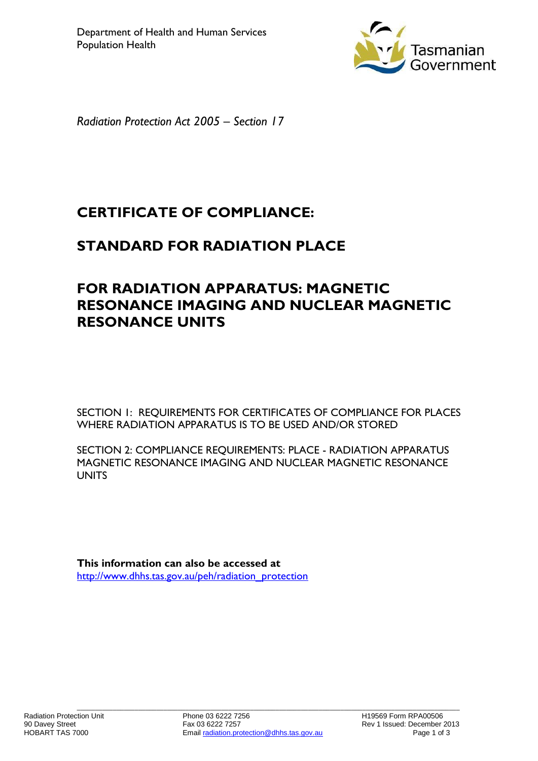

*Radiation Protection Act 2005 – Section 17*

# **CERTIFICATE OF COMPLIANCE:**

### **STANDARD FOR RADIATION PLACE**

## **FOR RADIATION APPARATUS: MAGNETIC RESONANCE IMAGING AND NUCLEAR MAGNETIC RESONANCE UNITS**

SECTION 1: REQUIREMENTS FOR CERTIFICATES OF COMPLIANCE FOR PLACES WHERE RADIATION APPARATUS IS TO BE USED AND/OR STORED

SECTION 2: COMPLIANCE REQUIREMENTS: PLACE - RADIATION APPARATUS MAGNETIC RESONANCE IMAGING AND NUCLEAR MAGNETIC RESONANCE **UNITS** 

**This information can also be accessed at** [http://www.dhhs.tas.gov.au/peh/radiation\\_protection](http://www.dhhs.tas.gov.au/peh/radiation_protection)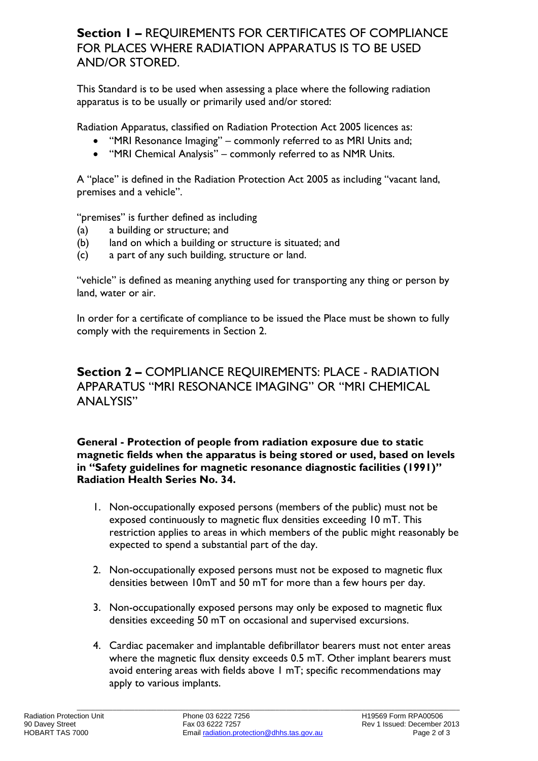### **Section 1 –** REQUIREMENTS FOR CERTIFICATES OF COMPLIANCE FOR PLACES WHERE RADIATION APPARATUS IS TO BE USED AND/OR STORED.

This Standard is to be used when assessing a place where the following radiation apparatus is to be usually or primarily used and/or stored:

Radiation Apparatus, classified on Radiation Protection Act 2005 licences as:

- "MRI Resonance Imaging" commonly referred to as MRI Units and;
- "MRI Chemical Analysis" commonly referred to as NMR Units.

A "place" is defined in the Radiation Protection Act 2005 as including "vacant land, premises and a vehicle".

"premises" is further defined as including

- (a) a building or structure; and
- (b) land on which a building or structure is situated; and
- (c) a part of any such building, structure or land.

"vehicle" is defined as meaning anything used for transporting any thing or person by land, water or air.

In order for a certificate of compliance to be issued the Place must be shown to fully comply with the requirements in Section 2.

### **Section 2 –** COMPLIANCE REQUIREMENTS: PLACE - RADIATION APPARATUS "MRI RESONANCE IMAGING" OR "MRI CHEMICAL ANALYSIS"

#### **General - Protection of people from radiation exposure due to static magnetic fields when the apparatus is being stored or used, based on levels in "Safety guidelines for magnetic resonance diagnostic facilities (1991)" Radiation Health Series No. 34.**

- 1. Non-occupationally exposed persons (members of the public) must not be exposed continuously to magnetic flux densities exceeding 10 mT. This restriction applies to areas in which members of the public might reasonably be expected to spend a substantial part of the day.
- 2. Non-occupationally exposed persons must not be exposed to magnetic flux densities between 10mT and 50 mT for more than a few hours per day.
- 3. Non-occupationally exposed persons may only be exposed to magnetic flux densities exceeding 50 mT on occasional and supervised excursions.
- 4. Cardiac pacemaker and implantable defibrillator bearers must not enter areas where the magnetic flux density exceeds 0.5 mT. Other implant bearers must avoid entering areas with fields above 1 mT; specific recommendations may apply to various implants.